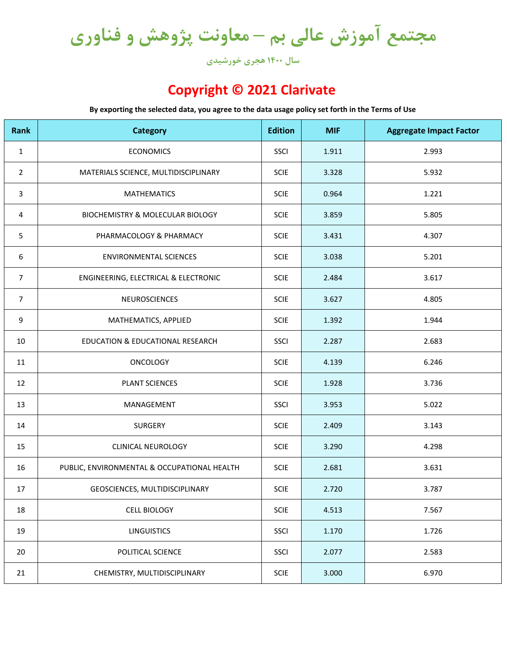**مجتمع آموزش عالی بم – معاونت پژوهش و فناوری**

**سال 1400 هجری خورشیدی**

## **Copyright © 2021 Clarivate**

**By exporting the selected data, you agree to the data usage policy set forth in the Terms of Use**

| Rank           | <b>Category</b>                             | <b>Edition</b> | <b>MIF</b> | <b>Aggregate Impact Factor</b> |
|----------------|---------------------------------------------|----------------|------------|--------------------------------|
| $\mathbf{1}$   | <b>ECONOMICS</b>                            | SSCI           | 1.911      | 2.993                          |
| $\overline{2}$ | MATERIALS SCIENCE, MULTIDISCIPLINARY        | SCIE           | 3.328      | 5.932                          |
| 3              | <b>MATHEMATICS</b>                          | SCIE           | 0.964      | 1.221                          |
| 4              | BIOCHEMISTRY & MOLECULAR BIOLOGY            | <b>SCIE</b>    | 3.859      | 5.805                          |
| 5              | PHARMACOLOGY & PHARMACY                     | <b>SCIE</b>    | 3.431      | 4.307                          |
| 6              | <b>ENVIRONMENTAL SCIENCES</b>               | <b>SCIE</b>    | 3.038      | 5.201                          |
| $\overline{7}$ | ENGINEERING, ELECTRICAL & ELECTRONIC        | <b>SCIE</b>    | 2.484      | 3.617                          |
| $\overline{7}$ | NEUROSCIENCES                               | SCIE           | 3.627      | 4.805                          |
| 9              | MATHEMATICS, APPLIED                        | <b>SCIE</b>    | 1.392      | 1.944                          |
| 10             | EDUCATION & EDUCATIONAL RESEARCH            | SSCI           | 2.287      | 2.683                          |
| 11             | <b>ONCOLOGY</b>                             | <b>SCIE</b>    | 4.139      | 6.246                          |
| 12             | PLANT SCIENCES                              | <b>SCIE</b>    | 1.928      | 3.736                          |
| 13             | MANAGEMENT                                  | SSCI           | 3.953      | 5.022                          |
| 14             | SURGERY                                     | <b>SCIE</b>    | 2.409      | 3.143                          |
| 15             | <b>CLINICAL NEUROLOGY</b>                   | <b>SCIE</b>    | 3.290      | 4.298                          |
| 16             | PUBLIC, ENVIRONMENTAL & OCCUPATIONAL HEALTH | SCIE           | 2.681      | 3.631                          |
| 17             | GEOSCIENCES, MULTIDISCIPLINARY              | SCIE           | 2.720      | 3.787                          |
| 18             | <b>CELL BIOLOGY</b>                         | <b>SCIE</b>    | 4.513      | 7.567                          |
| 19             | <b>LINGUISTICS</b>                          | SSCI           | 1.170      | 1.726                          |
| 20             | POLITICAL SCIENCE                           | SSCI           | 2.077      | 2.583                          |
| 21             | CHEMISTRY, MULTIDISCIPLINARY                | SCIE           | 3.000      | 6.970                          |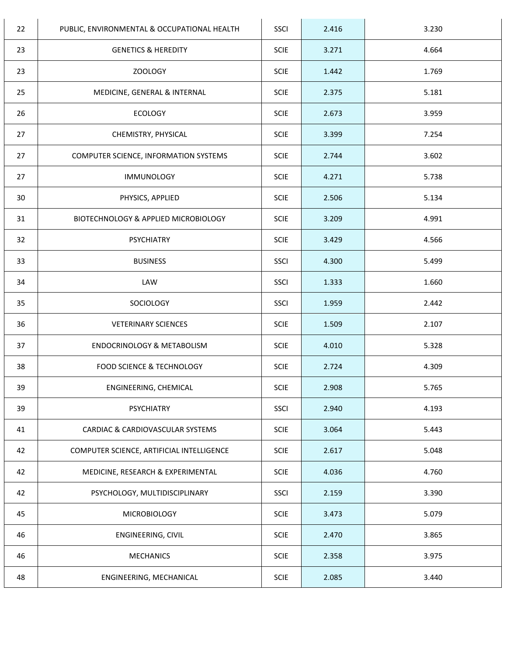| 22 | PUBLIC, ENVIRONMENTAL & OCCUPATIONAL HEALTH | SSCI        | 2.416 | 3.230 |
|----|---------------------------------------------|-------------|-------|-------|
| 23 | <b>GENETICS &amp; HEREDITY</b>              | <b>SCIE</b> | 3.271 | 4.664 |
| 23 | <b>ZOOLOGY</b>                              | <b>SCIE</b> | 1.442 | 1.769 |
| 25 | MEDICINE, GENERAL & INTERNAL                | <b>SCIE</b> | 2.375 | 5.181 |
| 26 | <b>ECOLOGY</b>                              | <b>SCIE</b> | 2.673 | 3.959 |
| 27 | CHEMISTRY, PHYSICAL                         | <b>SCIE</b> | 3.399 | 7.254 |
| 27 | COMPUTER SCIENCE, INFORMATION SYSTEMS       | <b>SCIE</b> | 2.744 | 3.602 |
| 27 | <b>IMMUNOLOGY</b>                           | SCIE        | 4.271 | 5.738 |
| 30 | PHYSICS, APPLIED                            | <b>SCIE</b> | 2.506 | 5.134 |
| 31 | BIOTECHNOLOGY & APPLIED MICROBIOLOGY        | <b>SCIE</b> | 3.209 | 4.991 |
| 32 | <b>PSYCHIATRY</b>                           | <b>SCIE</b> | 3.429 | 4.566 |
| 33 | <b>BUSINESS</b>                             | <b>SSCI</b> | 4.300 | 5.499 |
| 34 | LAW                                         | SSCI        | 1.333 | 1.660 |
| 35 | SOCIOLOGY                                   | <b>SSCI</b> | 1.959 | 2.442 |
| 36 | <b>VETERINARY SCIENCES</b>                  | <b>SCIE</b> | 1.509 | 2.107 |
| 37 | ENDOCRINOLOGY & METABOLISM                  | SCIE        | 4.010 | 5.328 |
| 38 | <b>FOOD SCIENCE &amp; TECHNOLOGY</b>        | <b>SCIE</b> | 2.724 | 4.309 |
| 39 | ENGINEERING, CHEMICAL                       | <b>SCIE</b> | 2.908 | 5.765 |
| 39 | <b>PSYCHIATRY</b>                           | <b>SSCI</b> | 2.940 | 4.193 |
| 41 | CARDIAC & CARDIOVASCULAR SYSTEMS            | <b>SCIE</b> | 3.064 | 5.443 |
| 42 | COMPUTER SCIENCE, ARTIFICIAL INTELLIGENCE   | SCIE        | 2.617 | 5.048 |
| 42 | MEDICINE, RESEARCH & EXPERIMENTAL           | SCIE        | 4.036 | 4.760 |
| 42 | PSYCHOLOGY, MULTIDISCIPLINARY               | SSCI        | 2.159 | 3.390 |
| 45 | <b>MICROBIOLOGY</b>                         | <b>SCIE</b> | 3.473 | 5.079 |
| 46 | ENGINEERING, CIVIL                          | SCIE        | 2.470 | 3.865 |
| 46 | <b>MECHANICS</b>                            | <b>SCIE</b> | 2.358 | 3.975 |
| 48 | ENGINEERING, MECHANICAL                     | <b>SCIE</b> | 2.085 | 3.440 |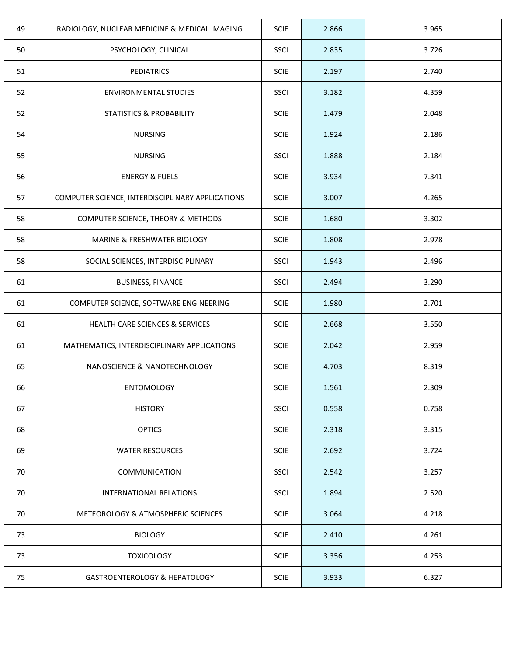| 49 | RADIOLOGY, NUCLEAR MEDICINE & MEDICAL IMAGING    | <b>SCIE</b> | 2.866 | 3.965 |
|----|--------------------------------------------------|-------------|-------|-------|
| 50 | PSYCHOLOGY, CLINICAL                             | SSCI        | 2.835 | 3.726 |
| 51 | <b>PEDIATRICS</b>                                | <b>SCIE</b> | 2.197 | 2.740 |
| 52 | <b>ENVIRONMENTAL STUDIES</b>                     | <b>SSCI</b> | 3.182 | 4.359 |
| 52 | STATISTICS & PROBABILITY                         | <b>SCIE</b> | 1.479 | 2.048 |
| 54 | <b>NURSING</b>                                   | <b>SCIE</b> | 1.924 | 2.186 |
| 55 | <b>NURSING</b>                                   | SSCI        | 1.888 | 2.184 |
| 56 | <b>ENERGY &amp; FUELS</b>                        | <b>SCIE</b> | 3.934 | 7.341 |
| 57 | COMPUTER SCIENCE, INTERDISCIPLINARY APPLICATIONS | <b>SCIE</b> | 3.007 | 4.265 |
| 58 | COMPUTER SCIENCE, THEORY & METHODS               | <b>SCIE</b> | 1.680 | 3.302 |
| 58 | MARINE & FRESHWATER BIOLOGY                      | <b>SCIE</b> | 1.808 | 2.978 |
| 58 | SOCIAL SCIENCES, INTERDISCIPLINARY               | SSCI        | 1.943 | 2.496 |
| 61 | <b>BUSINESS, FINANCE</b>                         | SSCI        | 2.494 | 3.290 |
| 61 | COMPUTER SCIENCE, SOFTWARE ENGINEERING           | <b>SCIE</b> | 1.980 | 2.701 |
| 61 | HEALTH CARE SCIENCES & SERVICES                  | <b>SCIE</b> | 2.668 | 3.550 |
| 61 | MATHEMATICS, INTERDISCIPLINARY APPLICATIONS      | <b>SCIE</b> | 2.042 | 2.959 |
| 65 | NANOSCIENCE & NANOTECHNOLOGY                     | <b>SCIE</b> | 4.703 | 8.319 |
| 66 | <b>ENTOMOLOGY</b>                                | <b>SCIE</b> | 1.561 | 2.309 |
| 67 | <b>HISTORY</b>                                   | <b>SSCI</b> | 0.558 | 0.758 |
| 68 | <b>OPTICS</b>                                    | <b>SCIE</b> | 2.318 | 3.315 |
| 69 | <b>WATER RESOURCES</b>                           | <b>SCIE</b> | 2.692 | 3.724 |
| 70 | <b>COMMUNICATION</b>                             | <b>SSCI</b> | 2.542 | 3.257 |
| 70 | INTERNATIONAL RELATIONS                          | <b>SSCI</b> | 1.894 | 2.520 |
| 70 | METEOROLOGY & ATMOSPHERIC SCIENCES               | <b>SCIE</b> | 3.064 | 4.218 |
| 73 | <b>BIOLOGY</b>                                   | <b>SCIE</b> | 2.410 | 4.261 |
| 73 | <b>TOXICOLOGY</b>                                | <b>SCIE</b> | 3.356 | 4.253 |
| 75 | GASTROENTEROLOGY & HEPATOLOGY                    | <b>SCIE</b> | 3.933 | 6.327 |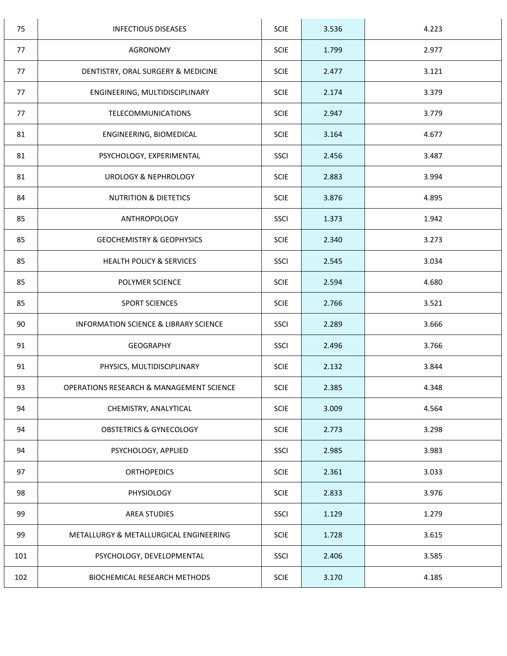| 75  | <b>INFECTIOUS DISEASES</b>               | <b>SCIE</b> | 3.536 | 4.223 |
|-----|------------------------------------------|-------------|-------|-------|
| 77  | <b>AGRONOMY</b>                          | <b>SCIE</b> | 1.799 | 2.977 |
| 77  | DENTISTRY, ORAL SURGERY & MEDICINE       | <b>SCIE</b> | 2.477 | 3.121 |
| 77  | ENGINEERING, MULTIDISCIPLINARY           | <b>SCIE</b> | 2.174 | 3.379 |
| 77  | TELECOMMUNICATIONS                       | <b>SCIE</b> | 2.947 | 3.779 |
| 81  | ENGINEERING, BIOMEDICAL                  | <b>SCIE</b> | 3.164 | 4.677 |
| 81  | PSYCHOLOGY, EXPERIMENTAL                 | <b>SSCI</b> | 2.456 | 3.487 |
| 81  | <b>UROLOGY &amp; NEPHROLOGY</b>          | <b>SCIE</b> | 2.883 | 3.994 |
| 84  | <b>NUTRITION &amp; DIETETICS</b>         | <b>SCIE</b> | 3.876 | 4.895 |
| 85  | ANTHROPOLOGY                             | SSCI        | 1.373 | 1.942 |
| 85  | <b>GEOCHEMISTRY &amp; GEOPHYSICS</b>     | <b>SCIE</b> | 2.340 | 3.273 |
| 85  | HEALTH POLICY & SERVICES                 | <b>SSCI</b> | 2.545 | 3.034 |
| 85  | POLYMER SCIENCE                          | <b>SCIE</b> | 2.594 | 4.680 |
| 85  | SPORT SCIENCES                           | <b>SCIE</b> | 2.766 | 3.521 |
| 90  | INFORMATION SCIENCE & LIBRARY SCIENCE    | <b>SSCI</b> | 2.289 | 3.666 |
| 91  | <b>GEOGRAPHY</b>                         | <b>SSCI</b> | 2.496 | 3.766 |
| 91  | PHYSICS, MULTIDISCIPLINARY               | <b>SCIE</b> | 2.132 | 3.844 |
| 93  | OPERATIONS RESEARCH & MANAGEMENT SCIENCE | <b>SCIE</b> | 2.385 | 4.348 |
| 94  | CHEMISTRY, ANALYTICAL                    | <b>SCIE</b> | 3.009 | 4.564 |
| 94  | <b>OBSTETRICS &amp; GYNECOLOGY</b>       | <b>SCIE</b> | 2.773 | 3.298 |
| 94  | PSYCHOLOGY, APPLIED                      | <b>SSCI</b> | 2.985 | 3.983 |
| 97  | <b>ORTHOPEDICS</b>                       | <b>SCIE</b> | 2.361 | 3.033 |
| 98  | PHYSIOLOGY                               | <b>SCIE</b> | 2.833 | 3.976 |
| 99  | <b>AREA STUDIES</b>                      | <b>SSCI</b> | 1.129 | 1.279 |
| 99  | METALLURGY & METALLURGICAL ENGINEERING   | <b>SCIE</b> | 1.728 | 3.615 |
| 101 | PSYCHOLOGY, DEVELOPMENTAL                | SSCI        | 2.406 | 3.585 |
| 102 | BIOCHEMICAL RESEARCH METHODS             | <b>SCIE</b> | 3.170 | 4.185 |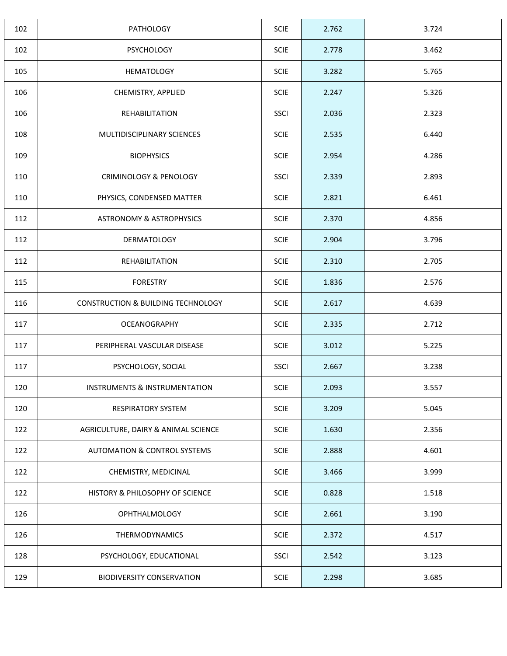| 102 | PATHOLOGY                                | SCIE        | 2.762 | 3.724 |
|-----|------------------------------------------|-------------|-------|-------|
| 102 | <b>PSYCHOLOGY</b>                        | <b>SCIE</b> | 2.778 | 3.462 |
| 105 | <b>HEMATOLOGY</b>                        | <b>SCIE</b> | 3.282 | 5.765 |
| 106 | CHEMISTRY, APPLIED                       | <b>SCIE</b> | 2.247 | 5.326 |
| 106 | REHABILITATION                           | <b>SSCI</b> | 2.036 | 2.323 |
| 108 | MULTIDISCIPLINARY SCIENCES               | <b>SCIE</b> | 2.535 | 6.440 |
| 109 | <b>BIOPHYSICS</b>                        | <b>SCIE</b> | 2.954 | 4.286 |
| 110 | <b>CRIMINOLOGY &amp; PENOLOGY</b>        | <b>SSCI</b> | 2.339 | 2.893 |
| 110 | PHYSICS, CONDENSED MATTER                | SCIE        | 2.821 | 6.461 |
| 112 | <b>ASTRONOMY &amp; ASTROPHYSICS</b>      | <b>SCIE</b> | 2.370 | 4.856 |
| 112 | <b>DERMATOLOGY</b>                       | SCIE        | 2.904 | 3.796 |
| 112 | REHABILITATION                           | <b>SCIE</b> | 2.310 | 2.705 |
| 115 | <b>FORESTRY</b>                          | <b>SCIE</b> | 1.836 | 2.576 |
| 116 | CONSTRUCTION & BUILDING TECHNOLOGY       | <b>SCIE</b> | 2.617 | 4.639 |
| 117 | OCEANOGRAPHY                             | <b>SCIE</b> | 2.335 | 2.712 |
| 117 | PERIPHERAL VASCULAR DISEASE              | <b>SCIE</b> | 3.012 | 5.225 |
| 117 | PSYCHOLOGY, SOCIAL                       | SSCI        | 2.667 | 3.238 |
| 120 | <b>INSTRUMENTS &amp; INSTRUMENTATION</b> | <b>SCIE</b> | 2.093 | 3.557 |
| 120 | <b>RESPIRATORY SYSTEM</b>                | <b>SCIE</b> | 3.209 | 5.045 |
| 122 | AGRICULTURE, DAIRY & ANIMAL SCIENCE      | <b>SCIE</b> | 1.630 | 2.356 |
| 122 | <b>AUTOMATION &amp; CONTROL SYSTEMS</b>  | <b>SCIE</b> | 2.888 | 4.601 |
| 122 | CHEMISTRY, MEDICINAL                     | <b>SCIE</b> | 3.466 | 3.999 |
| 122 | HISTORY & PHILOSOPHY OF SCIENCE          | <b>SCIE</b> | 0.828 | 1.518 |
| 126 | <b>OPHTHALMOLOGY</b>                     | <b>SCIE</b> | 2.661 | 3.190 |
| 126 | THERMODYNAMICS                           | <b>SCIE</b> | 2.372 | 4.517 |
| 128 | PSYCHOLOGY, EDUCATIONAL                  | SSCI        | 2.542 | 3.123 |
| 129 | <b>BIODIVERSITY CONSERVATION</b>         | <b>SCIE</b> | 2.298 | 3.685 |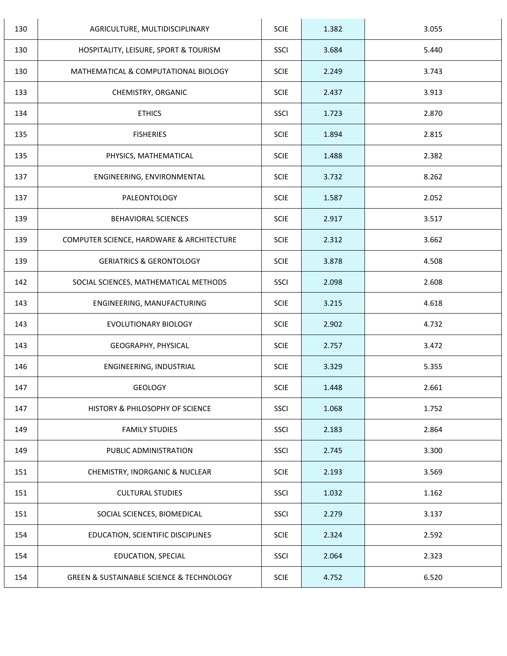| 130 | AGRICULTURE, MULTIDISCIPLINARY                          | <b>SCIE</b> | 1.382 | 3.055 |
|-----|---------------------------------------------------------|-------------|-------|-------|
| 130 | HOSPITALITY, LEISURE, SPORT & TOURISM                   | SSCI        | 3.684 | 5.440 |
| 130 | MATHEMATICAL & COMPUTATIONAL BIOLOGY                    | <b>SCIE</b> | 2.249 | 3.743 |
| 133 | CHEMISTRY, ORGANIC                                      | <b>SCIE</b> | 2.437 | 3.913 |
| 134 | <b>ETHICS</b>                                           | SSCI        | 1.723 | 2.870 |
| 135 | <b>FISHERIES</b>                                        | <b>SCIE</b> | 1.894 | 2.815 |
| 135 | PHYSICS, MATHEMATICAL                                   | <b>SCIE</b> | 1.488 | 2.382 |
| 137 | ENGINEERING, ENVIRONMENTAL                              | <b>SCIE</b> | 3.732 | 8.262 |
| 137 | PALEONTOLOGY                                            | <b>SCIE</b> | 1.587 | 2.052 |
| 139 | BEHAVIORAL SCIENCES                                     | <b>SCIE</b> | 2.917 | 3.517 |
| 139 | COMPUTER SCIENCE, HARDWARE & ARCHITECTURE               | <b>SCIE</b> | 2.312 | 3.662 |
| 139 | <b>GERIATRICS &amp; GERONTOLOGY</b>                     | <b>SCIE</b> | 3.878 | 4.508 |
| 142 | SOCIAL SCIENCES, MATHEMATICAL METHODS                   | <b>SSCI</b> | 2.098 | 2.608 |
| 143 | ENGINEERING, MANUFACTURING                              | <b>SCIE</b> | 3.215 | 4.618 |
| 143 | EVOLUTIONARY BIOLOGY                                    | <b>SCIE</b> | 2.902 | 4.732 |
| 143 | GEOGRAPHY, PHYSICAL                                     | <b>SCIE</b> | 2.757 | 3.472 |
| 146 | ENGINEERING, INDUSTRIAL                                 | SCIE        | 3.329 | 5.355 |
| 147 | <b>GEOLOGY</b>                                          | <b>SCIE</b> | 1.448 | 2.661 |
| 147 | HISTORY & PHILOSOPHY OF SCIENCE                         | SSCI        | 1.068 | 1.752 |
| 149 | <b>FAMILY STUDIES</b>                                   | SSCI        | 2.183 | 2.864 |
| 149 | PUBLIC ADMINISTRATION                                   | SSCI        | 2.745 | 3.300 |
| 151 | CHEMISTRY, INORGANIC & NUCLEAR                          | <b>SCIE</b> | 2.193 | 3.569 |
| 151 | <b>CULTURAL STUDIES</b>                                 | <b>SSCI</b> | 1.032 | 1.162 |
| 151 | SOCIAL SCIENCES, BIOMEDICAL                             | <b>SSCI</b> | 2.279 | 3.137 |
| 154 | EDUCATION, SCIENTIFIC DISCIPLINES                       | <b>SCIE</b> | 2.324 | 2.592 |
| 154 | EDUCATION, SPECIAL                                      | SSCI        | 2.064 | 2.323 |
| 154 | <b>GREEN &amp; SUSTAINABLE SCIENCE &amp; TECHNOLOGY</b> | <b>SCIE</b> | 4.752 | 6.520 |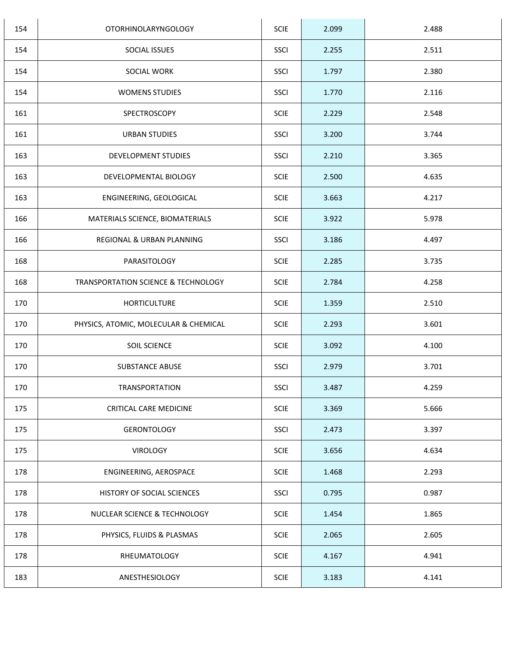| 154 | <b>OTORHINOLARYNGOLOGY</b>                     | <b>SCIE</b> | 2.099 | 2.488 |
|-----|------------------------------------------------|-------------|-------|-------|
| 154 | SOCIAL ISSUES                                  | SSCI        | 2.255 | 2.511 |
| 154 | SOCIAL WORK                                    | SSCI        | 1.797 | 2.380 |
| 154 | <b>WOMENS STUDIES</b>                          | <b>SSCI</b> | 1.770 | 2.116 |
| 161 | SPECTROSCOPY                                   | <b>SCIE</b> | 2.229 | 2.548 |
| 161 | <b>URBAN STUDIES</b>                           | SSCI        | 3.200 | 3.744 |
| 163 | DEVELOPMENT STUDIES                            | SSCI        | 2.210 | 3.365 |
| 163 | DEVELOPMENTAL BIOLOGY                          | <b>SCIE</b> | 2.500 | 4.635 |
| 163 | ENGINEERING, GEOLOGICAL                        | <b>SCIE</b> | 3.663 | 4.217 |
| 166 | MATERIALS SCIENCE, BIOMATERIALS                | <b>SCIE</b> | 3.922 | 5.978 |
| 166 | REGIONAL & URBAN PLANNING                      | SSCI        | 3.186 | 4.497 |
| 168 | PARASITOLOGY                                   | <b>SCIE</b> | 2.285 | 3.735 |
| 168 | <b>TRANSPORTATION SCIENCE &amp; TECHNOLOGY</b> | <b>SCIE</b> | 2.784 | 4.258 |
| 170 | <b>HORTICULTURE</b>                            | <b>SCIE</b> | 1.359 | 2.510 |
| 170 | PHYSICS, ATOMIC, MOLECULAR & CHEMICAL          | <b>SCIE</b> | 2.293 | 3.601 |
| 170 | SOIL SCIENCE                                   | <b>SCIE</b> | 3.092 | 4.100 |
| 170 | <b>SUBSTANCE ABUSE</b>                         | SSCI        | 2.979 | 3.701 |
| 170 | <b>TRANSPORTATION</b>                          | SSCI        | 3.487 | 4.259 |
| 175 | CRITICAL CARE MEDICINE                         | <b>SCIE</b> | 3.369 | 5.666 |
| 175 | <b>GERONTOLOGY</b>                             | <b>SSCI</b> | 2.473 | 3.397 |
| 175 | VIROLOGY                                       | <b>SCIE</b> | 3.656 | 4.634 |
| 178 | ENGINEERING, AEROSPACE                         | <b>SCIE</b> | 1.468 | 2.293 |
| 178 | HISTORY OF SOCIAL SCIENCES                     | SSCI        | 0.795 | 0.987 |
| 178 | NUCLEAR SCIENCE & TECHNOLOGY                   | <b>SCIE</b> | 1.454 | 1.865 |
| 178 | PHYSICS, FLUIDS & PLASMAS                      | <b>SCIE</b> | 2.065 | 2.605 |
| 178 | RHEUMATOLOGY                                   | <b>SCIE</b> | 4.167 | 4.941 |
| 183 | ANESTHESIOLOGY                                 | <b>SCIE</b> | 3.183 | 4.141 |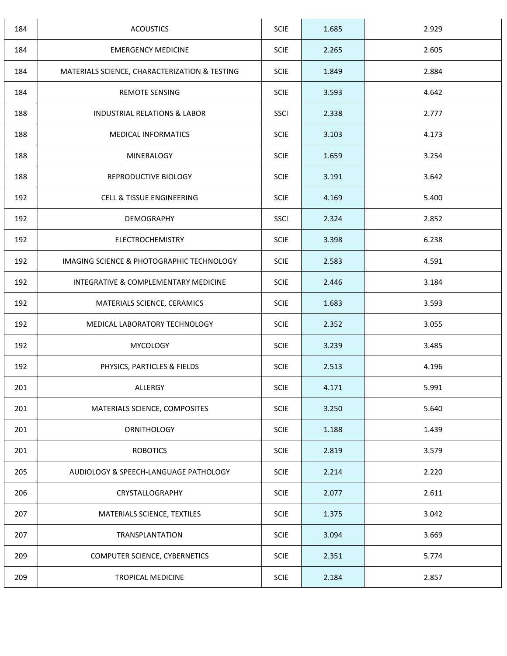| 184 | <b>ACOUSTICS</b>                              | <b>SCIE</b> | 1.685 | 2.929 |
|-----|-----------------------------------------------|-------------|-------|-------|
| 184 | <b>EMERGENCY MEDICINE</b>                     | <b>SCIE</b> | 2.265 | 2.605 |
| 184 | MATERIALS SCIENCE, CHARACTERIZATION & TESTING | <b>SCIE</b> | 1.849 | 2.884 |
| 184 | <b>REMOTE SENSING</b>                         | <b>SCIE</b> | 3.593 | 4.642 |
| 188 | <b>INDUSTRIAL RELATIONS &amp; LABOR</b>       | SSCI        | 2.338 | 2.777 |
| 188 | <b>MEDICAL INFORMATICS</b>                    | <b>SCIE</b> | 3.103 | 4.173 |
| 188 | MINERALOGY                                    | <b>SCIE</b> | 1.659 | 3.254 |
| 188 | REPRODUCTIVE BIOLOGY                          | <b>SCIE</b> | 3.191 | 3.642 |
| 192 | <b>CELL &amp; TISSUE ENGINEERING</b>          | <b>SCIE</b> | 4.169 | 5.400 |
| 192 | DEMOGRAPHY                                    | <b>SSCI</b> | 2.324 | 2.852 |
| 192 | <b>ELECTROCHEMISTRY</b>                       | <b>SCIE</b> | 3.398 | 6.238 |
| 192 | IMAGING SCIENCE & PHOTOGRAPHIC TECHNOLOGY     | <b>SCIE</b> | 2.583 | 4.591 |
| 192 | INTEGRATIVE & COMPLEMENTARY MEDICINE          | <b>SCIE</b> | 2.446 | 3.184 |
| 192 | MATERIALS SCIENCE, CERAMICS                   | <b>SCIE</b> | 1.683 | 3.593 |
| 192 | MEDICAL LABORATORY TECHNOLOGY                 | <b>SCIE</b> | 2.352 | 3.055 |
| 192 | <b>MYCOLOGY</b>                               | <b>SCIE</b> | 3.239 | 3.485 |
| 192 | PHYSICS, PARTICLES & FIELDS                   | <b>SCIE</b> | 2.513 | 4.196 |
| 201 | ALLERGY                                       | <b>SCIE</b> | 4.171 | 5.991 |
| 201 | MATERIALS SCIENCE, COMPOSITES                 | <b>SCIE</b> | 3.250 | 5.640 |
| 201 | <b>ORNITHOLOGY</b>                            | <b>SCIE</b> | 1.188 | 1.439 |
| 201 | <b>ROBOTICS</b>                               | <b>SCIE</b> | 2.819 | 3.579 |
| 205 | AUDIOLOGY & SPEECH-LANGUAGE PATHOLOGY         | <b>SCIE</b> | 2.214 | 2.220 |
| 206 | CRYSTALLOGRAPHY                               | <b>SCIE</b> | 2.077 | 2.611 |
| 207 | MATERIALS SCIENCE, TEXTILES                   | <b>SCIE</b> | 1.375 | 3.042 |
| 207 | TRANSPLANTATION                               | <b>SCIE</b> | 3.094 | 3.669 |
| 209 | COMPUTER SCIENCE, CYBERNETICS                 | <b>SCIE</b> | 2.351 | 5.774 |
| 209 | <b>TROPICAL MEDICINE</b>                      | <b>SCIE</b> | 2.184 | 2.857 |